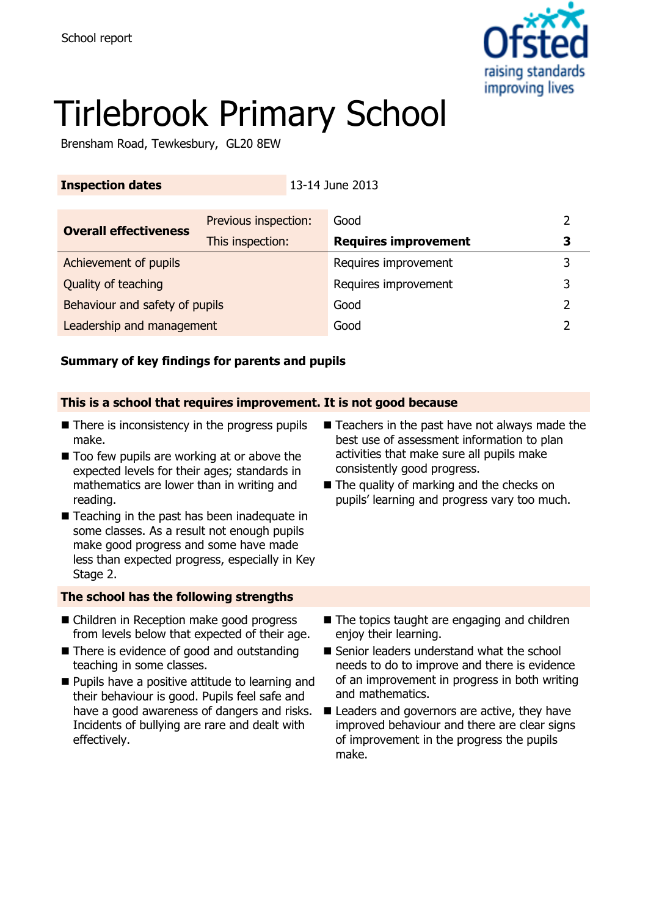

# Tirlebrook Primary School

Brensham Road, Tewkesbury, GL20 8EW

### **Inspection dates** 13-14 June 2013

| <b>Overall effectiveness</b>   | Previous inspection: | Good                        |   |
|--------------------------------|----------------------|-----------------------------|---|
|                                | This inspection:     | <b>Requires improvement</b> | 3 |
| Achievement of pupils          |                      | Requires improvement        | 3 |
| Quality of teaching            |                      | Requires improvement        |   |
| Behaviour and safety of pupils |                      | Good                        |   |
| Leadership and management      |                      | Good                        |   |

### **Summary of key findings for parents and pupils**

### **This is a school that requires improvement. It is not good because**

- $\blacksquare$  There is inconsistency in the progress pupils make.
- $\blacksquare$  Too few pupils are working at or above the expected levels for their ages; standards in mathematics are lower than in writing and reading.
- Teaching in the past has been inadequate in some classes. As a result not enough pupils make good progress and some have made less than expected progress, especially in Key Stage 2.

### **The school has the following strengths**

- Children in Reception make good progress from levels below that expected of their age.
- There is evidence of good and outstanding teaching in some classes.
- **Pupils have a positive attitude to learning and** their behaviour is good. Pupils feel safe and have a good awareness of dangers and risks. Incidents of bullying are rare and dealt with effectively.
- $\blacksquare$  Teachers in the past have not always made the best use of assessment information to plan activities that make sure all pupils make consistently good progress.
- The quality of marking and the checks on pupils' learning and progress vary too much.

- The topics taught are engaging and children enjoy their learning.
- Senior leaders understand what the school needs to do to improve and there is evidence of an improvement in progress in both writing and mathematics.
- Leaders and governors are active, they have improved behaviour and there are clear signs of improvement in the progress the pupils make.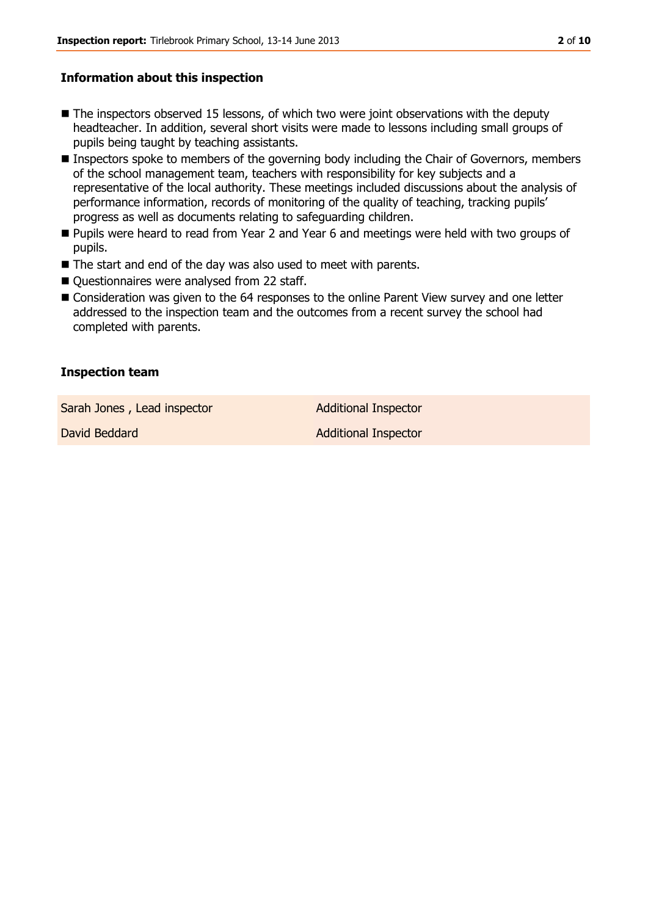#### **Information about this inspection**

- **The inspectors observed 15 lessons, of which two were joint observations with the deputy** headteacher. In addition, several short visits were made to lessons including small groups of pupils being taught by teaching assistants.
- Inspectors spoke to members of the governing body including the Chair of Governors, members of the school management team, teachers with responsibility for key subjects and a representative of the local authority. These meetings included discussions about the analysis of performance information, records of monitoring of the quality of teaching, tracking pupils' progress as well as documents relating to safeguarding children.
- **Pupils were heard to read from Year 2 and Year 6 and meetings were held with two groups of** pupils.
- The start and end of the day was also used to meet with parents.
- Questionnaires were analysed from 22 staff.
- Consideration was given to the 64 responses to the online Parent View survey and one letter addressed to the inspection team and the outcomes from a recent survey the school had completed with parents.

### **Inspection team**

Sarah Jones, Lead inspector **Additional Inspector** 

David Beddard **Additional Inspector** Additional Inspector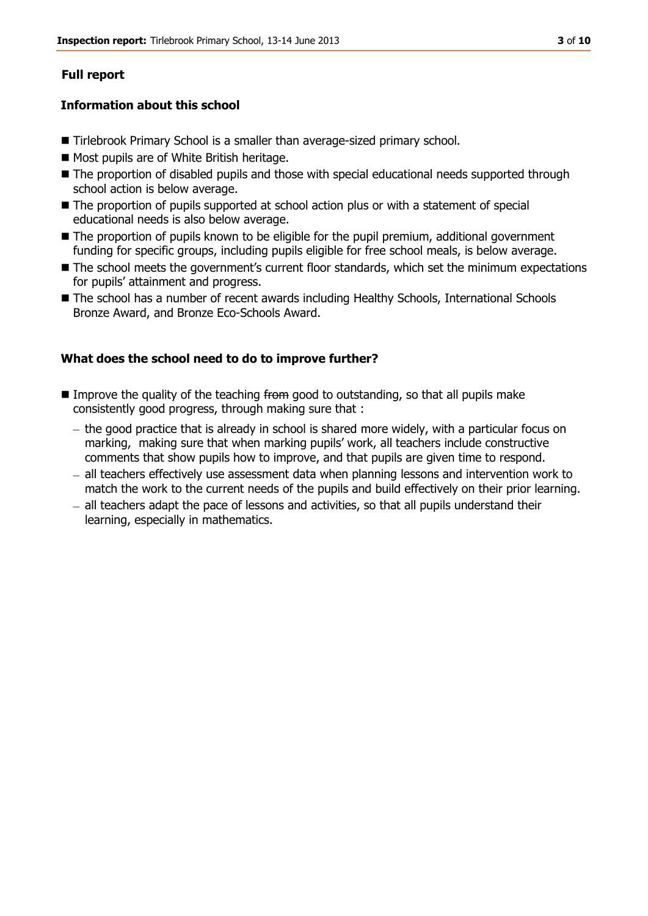### **Full report**

#### **Information about this school**

- Tirlebrook Primary School is a smaller than average-sized primary school.
- **Most pupils are of White British heritage.**
- The proportion of disabled pupils and those with special educational needs supported through school action is below average.
- The proportion of pupils supported at school action plus or with a statement of special educational needs is also below average.
- The proportion of pupils known to be eligible for the pupil premium, additional government funding for specific groups, including pupils eligible for free school meals, is below average.
- The school meets the government's current floor standards, which set the minimum expectations for pupils' attainment and progress.
- The school has a number of recent awards including Healthy Schools, International Schools Bronze Award, and Bronze Eco-Schools Award.

#### **What does the school need to do to improve further?**

- Improve the quality of the teaching from good to outstanding, so that all pupils make consistently good progress, through making sure that :
	- $-$  the good practice that is already in school is shared more widely, with a particular focus on marking, making sure that when marking pupils' work, all teachers include constructive comments that show pupils how to improve, and that pupils are given time to respond.
	- all teachers effectively use assessment data when planning lessons and intervention work to  $\equiv$ match the work to the current needs of the pupils and build effectively on their prior learning.
	- all teachers adapt the pace of lessons and activities, so that all pupils understand their learning, especially in mathematics.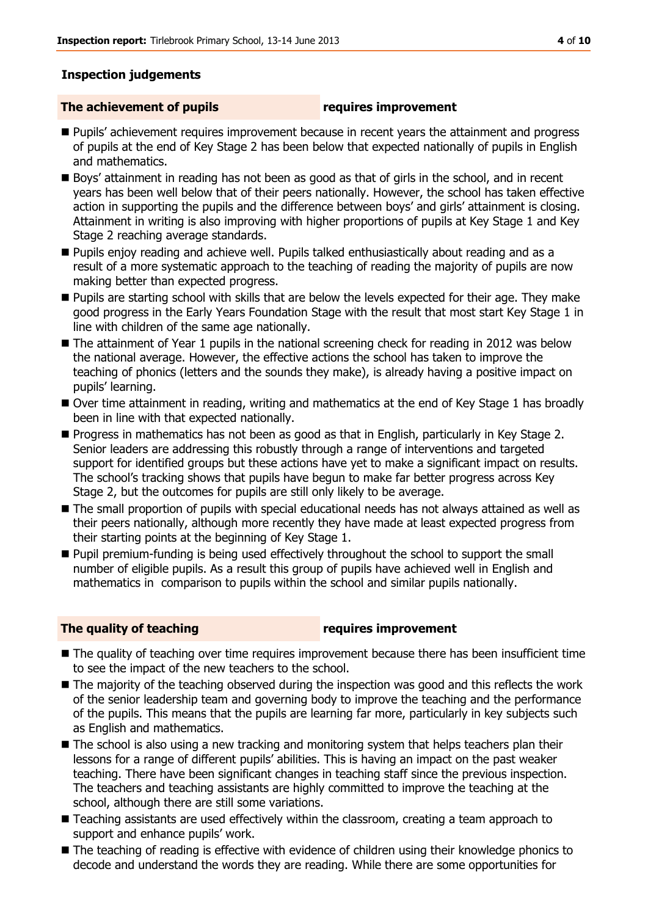#### **Inspection judgements**

#### **The achievement of pupils requires improvement**

- **Pupils' achievement requires improvement because in recent years the attainment and progress** of pupils at the end of Key Stage 2 has been below that expected nationally of pupils in English and mathematics.
- Boys' attainment in reading has not been as good as that of girls in the school, and in recent years has been well below that of their peers nationally. However, the school has taken effective action in supporting the pupils and the difference between boys' and girls' attainment is closing. Attainment in writing is also improving with higher proportions of pupils at Key Stage 1 and Key Stage 2 reaching average standards.
- Pupils enjoy reading and achieve well. Pupils talked enthusiastically about reading and as a result of a more systematic approach to the teaching of reading the majority of pupils are now making better than expected progress.
- **Pupils are starting school with skills that are below the levels expected for their age. They make** good progress in the Early Years Foundation Stage with the result that most start Key Stage 1 in line with children of the same age nationally.
- The attainment of Year 1 pupils in the national screening check for reading in 2012 was below the national average. However, the effective actions the school has taken to improve the teaching of phonics (letters and the sounds they make), is already having a positive impact on pupils' learning.
- Over time attainment in reading, writing and mathematics at the end of Key Stage 1 has broadly been in line with that expected nationally.
- **Progress in mathematics has not been as good as that in English, particularly in Key Stage 2.** Senior leaders are addressing this robustly through a range of interventions and targeted support for identified groups but these actions have yet to make a significant impact on results. The school's tracking shows that pupils have begun to make far better progress across Key Stage 2, but the outcomes for pupils are still only likely to be average.
- $\blacksquare$  The small proportion of pupils with special educational needs has not always attained as well as their peers nationally, although more recently they have made at least expected progress from their starting points at the beginning of Key Stage 1.
- Pupil premium-funding is being used effectively throughout the school to support the small number of eligible pupils. As a result this group of pupils have achieved well in English and mathematics in comparison to pupils within the school and similar pupils nationally.

#### **The quality of teaching requires improvement**

- The quality of teaching over time requires improvement because there has been insufficient time to see the impact of the new teachers to the school.
- The majority of the teaching observed during the inspection was good and this reflects the work of the senior leadership team and governing body to improve the teaching and the performance of the pupils. This means that the pupils are learning far more, particularly in key subjects such as English and mathematics.
- $\blacksquare$  The school is also using a new tracking and monitoring system that helps teachers plan their lessons for a range of different pupils' abilities. This is having an impact on the past weaker teaching. There have been significant changes in teaching staff since the previous inspection. The teachers and teaching assistants are highly committed to improve the teaching at the school, although there are still some variations.
- Teaching assistants are used effectively within the classroom, creating a team approach to support and enhance pupils' work.
- The teaching of reading is effective with evidence of children using their knowledge phonics to decode and understand the words they are reading. While there are some opportunities for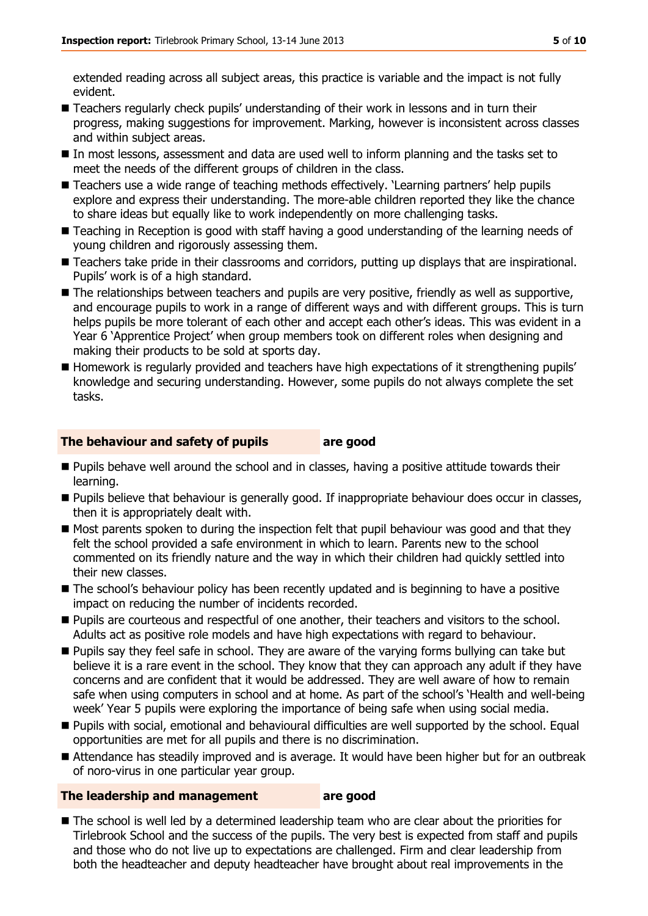extended reading across all subject areas, this practice is variable and the impact is not fully evident.

- Teachers regularly check pupils' understanding of their work in lessons and in turn their progress, making suggestions for improvement. Marking, however is inconsistent across classes and within subject areas.
- In most lessons, assessment and data are used well to inform planning and the tasks set to meet the needs of the different groups of children in the class.
- Teachers use a wide range of teaching methods effectively. 'Learning partners' help pupils explore and express their understanding. The more-able children reported they like the chance to share ideas but equally like to work independently on more challenging tasks.
- Teaching in Reception is good with staff having a good understanding of the learning needs of young children and rigorously assessing them.
- Teachers take pride in their classrooms and corridors, putting up displays that are inspirational. Pupils' work is of a high standard.
- The relationships between teachers and pupils are very positive, friendly as well as supportive, and encourage pupils to work in a range of different ways and with different groups. This is turn helps pupils be more tolerant of each other and accept each other's ideas. This was evident in a Year 6 'Apprentice Project' when group members took on different roles when designing and making their products to be sold at sports day.
- Homework is regularly provided and teachers have high expectations of it strengthening pupils' knowledge and securing understanding. However, some pupils do not always complete the set tasks.

#### **The behaviour and safety of pupils are good**

- **Pupils behave well around the school and in classes, having a positive attitude towards their** learning.
- **Pupils believe that behaviour is generally good. If inappropriate behaviour does occur in classes,** then it is appropriately dealt with.
- Most parents spoken to during the inspection felt that pupil behaviour was good and that they felt the school provided a safe environment in which to learn. Parents new to the school commented on its friendly nature and the way in which their children had quickly settled into their new classes.
- The school's behaviour policy has been recently updated and is beginning to have a positive impact on reducing the number of incidents recorded.
- **Pupils are courteous and respectful of one another, their teachers and visitors to the school.** Adults act as positive role models and have high expectations with regard to behaviour.
- **Pupils say they feel safe in school. They are aware of the varying forms bullying can take but** believe it is a rare event in the school. They know that they can approach any adult if they have concerns and are confident that it would be addressed. They are well aware of how to remain safe when using computers in school and at home. As part of the school's 'Health and well-being week' Year 5 pupils were exploring the importance of being safe when using social media.
- **Pupils with social, emotional and behavioural difficulties are well supported by the school. Equal** opportunities are met for all pupils and there is no discrimination.
- Attendance has steadily improved and is average. It would have been higher but for an outbreak of noro-virus in one particular year group.

#### **The leadership and management are good**

The school is well led by a determined leadership team who are clear about the priorities for Tirlebrook School and the success of the pupils. The very best is expected from staff and pupils and those who do not live up to expectations are challenged. Firm and clear leadership from both the headteacher and deputy headteacher have brought about real improvements in the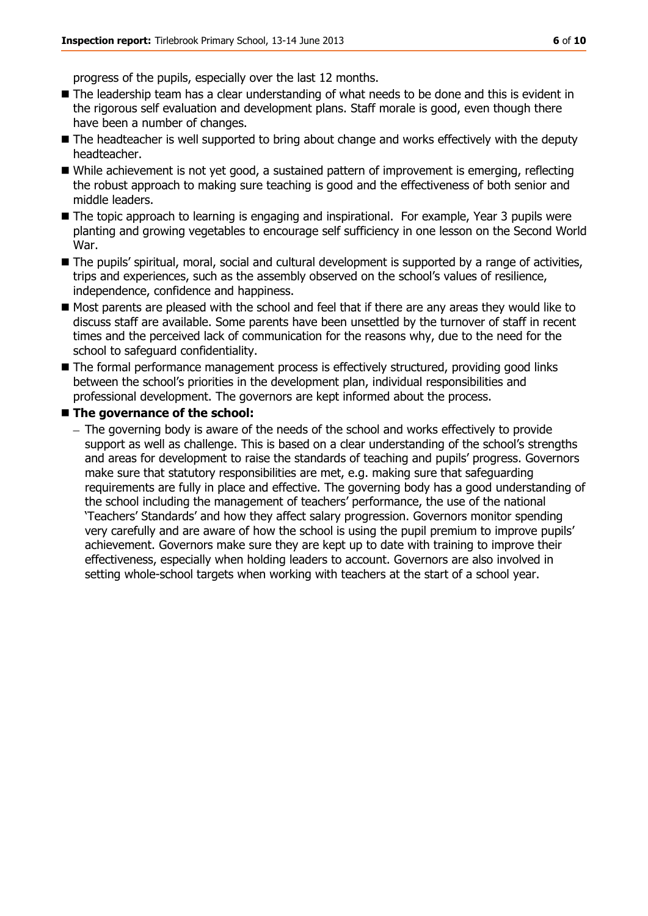progress of the pupils, especially over the last 12 months.

- The leadership team has a clear understanding of what needs to be done and this is evident in the rigorous self evaluation and development plans. Staff morale is good, even though there have been a number of changes.
- $\blacksquare$  The headteacher is well supported to bring about change and works effectively with the deputy headteacher.
- While achievement is not yet good, a sustained pattern of improvement is emerging, reflecting the robust approach to making sure teaching is good and the effectiveness of both senior and middle leaders.
- The topic approach to learning is engaging and inspirational. For example, Year 3 pupils were planting and growing vegetables to encourage self sufficiency in one lesson on the Second World War.
- $\blacksquare$  The pupils' spiritual, moral, social and cultural development is supported by a range of activities, trips and experiences, such as the assembly observed on the school's values of resilience, independence, confidence and happiness.
- Most parents are pleased with the school and feel that if there are any areas they would like to discuss staff are available. Some parents have been unsettled by the turnover of staff in recent times and the perceived lack of communication for the reasons why, due to the need for the school to safeguard confidentiality.
- The formal performance management process is effectively structured, providing good links between the school's priorities in the development plan, individual responsibilities and professional development. The governors are kept informed about the process.
- The governance of the school:
	- $-$  The governing body is aware of the needs of the school and works effectively to provide support as well as challenge. This is based on a clear understanding of the school's strengths and areas for development to raise the standards of teaching and pupils' progress. Governors make sure that statutory responsibilities are met, e.g. making sure that safeguarding requirements are fully in place and effective. The governing body has a good understanding of the school including the management of teachers' performance, the use of the national 'Teachers' Standards' and how they affect salary progression. Governors monitor spending very carefully and are aware of how the school is using the pupil premium to improve pupils' achievement. Governors make sure they are kept up to date with training to improve their effectiveness, especially when holding leaders to account. Governors are also involved in setting whole-school targets when working with teachers at the start of a school year.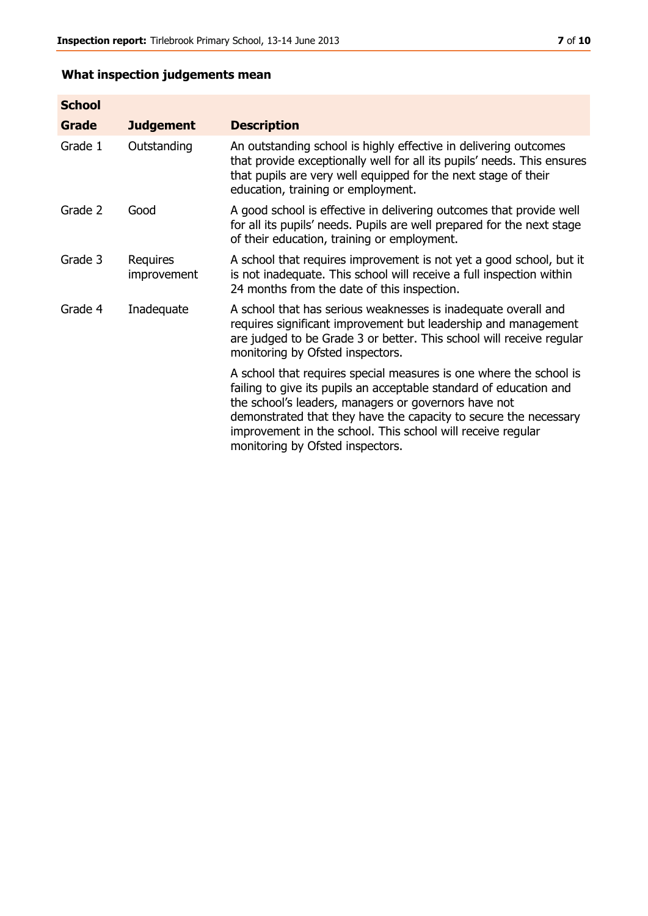## **What inspection judgements mean**

| <b>School</b> |                         |                                                                                                                                                                                                                                                                                                                                                                         |
|---------------|-------------------------|-------------------------------------------------------------------------------------------------------------------------------------------------------------------------------------------------------------------------------------------------------------------------------------------------------------------------------------------------------------------------|
| Grade         | <b>Judgement</b>        | <b>Description</b>                                                                                                                                                                                                                                                                                                                                                      |
| Grade 1       | Outstanding             | An outstanding school is highly effective in delivering outcomes<br>that provide exceptionally well for all its pupils' needs. This ensures<br>that pupils are very well equipped for the next stage of their<br>education, training or employment.                                                                                                                     |
| Grade 2       | Good                    | A good school is effective in delivering outcomes that provide well<br>for all its pupils' needs. Pupils are well prepared for the next stage<br>of their education, training or employment.                                                                                                                                                                            |
| Grade 3       | Requires<br>improvement | A school that requires improvement is not yet a good school, but it<br>is not inadequate. This school will receive a full inspection within<br>24 months from the date of this inspection.                                                                                                                                                                              |
| Grade 4       | Inadequate              | A school that has serious weaknesses is inadequate overall and<br>requires significant improvement but leadership and management<br>are judged to be Grade 3 or better. This school will receive regular<br>monitoring by Ofsted inspectors.                                                                                                                            |
|               |                         | A school that requires special measures is one where the school is<br>failing to give its pupils an acceptable standard of education and<br>the school's leaders, managers or governors have not<br>demonstrated that they have the capacity to secure the necessary<br>improvement in the school. This school will receive regular<br>monitoring by Ofsted inspectors. |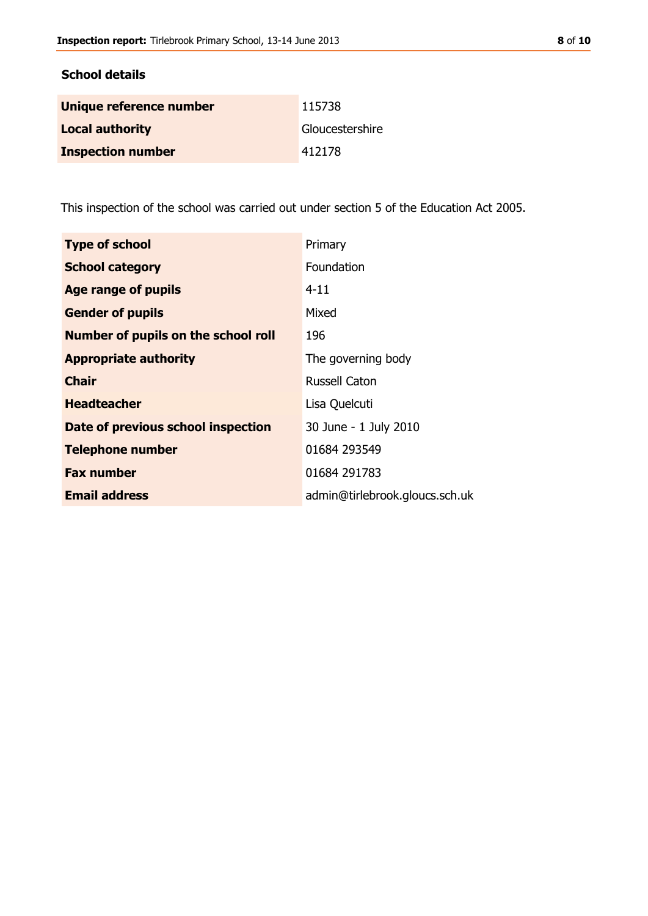#### **School details**

| Unique reference number  | 115738          |
|--------------------------|-----------------|
| <b>Local authority</b>   | Gloucestershire |
| <b>Inspection number</b> | 412178          |

This inspection of the school was carried out under section 5 of the Education Act 2005.

| <b>Type of school</b>                      | Primary                        |
|--------------------------------------------|--------------------------------|
| <b>School category</b>                     | Foundation                     |
| Age range of pupils                        | $4 - 11$                       |
| <b>Gender of pupils</b>                    | Mixed                          |
| <b>Number of pupils on the school roll</b> | 196                            |
| <b>Appropriate authority</b>               | The governing body             |
| Chair                                      | <b>Russell Caton</b>           |
| <b>Headteacher</b>                         | Lisa Quelcuti                  |
| Date of previous school inspection         | 30 June - 1 July 2010          |
| <b>Telephone number</b>                    | 01684 293549                   |
| <b>Fax number</b>                          | 01684 291783                   |
| <b>Email address</b>                       | admin@tirlebrook.gloucs.sch.uk |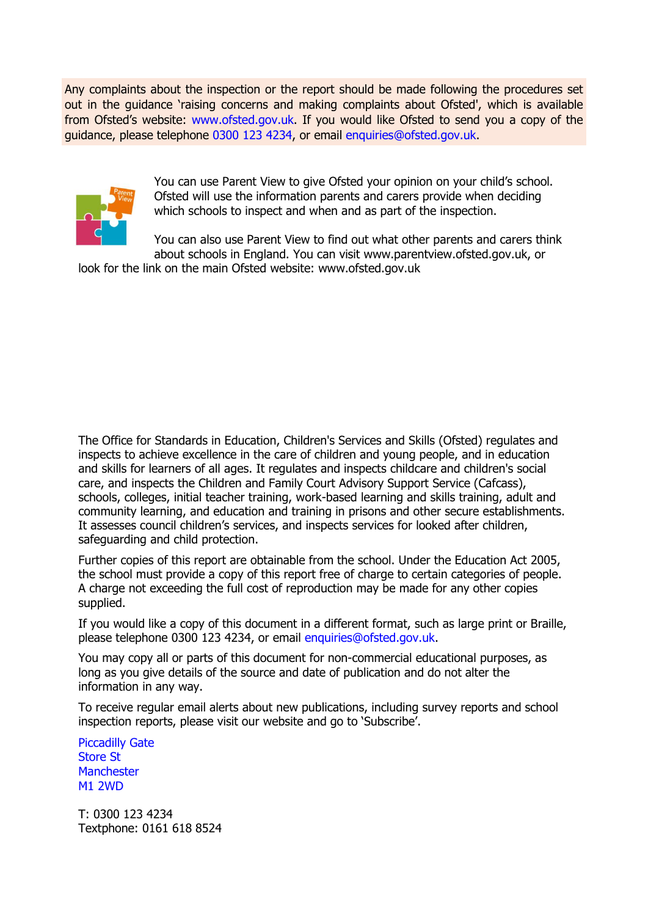Any complaints about the inspection or the report should be made following the procedures set out in the guidance 'raising concerns and making complaints about Ofsted', which is available from Ofsted's website: www.ofsted.gov.uk. If you would like Ofsted to send you a copy of the guidance, please telephone 0300 123 4234, or email enquiries@ofsted.gov.uk.



You can use Parent View to give Ofsted your opinion on your child's school. Ofsted will use the information parents and carers provide when deciding which schools to inspect and when and as part of the inspection.

You can also use Parent View to find out what other parents and carers think about schools in England. You can visit www.parentview.ofsted.gov.uk, or

look for the link on the main Ofsted website: www.ofsted.gov.uk

The Office for Standards in Education, Children's Services and Skills (Ofsted) regulates and inspects to achieve excellence in the care of children and young people, and in education and skills for learners of all ages. It regulates and inspects childcare and children's social care, and inspects the Children and Family Court Advisory Support Service (Cafcass), schools, colleges, initial teacher training, work-based learning and skills training, adult and community learning, and education and training in prisons and other secure establishments. It assesses council children's services, and inspects services for looked after children, safeguarding and child protection.

Further copies of this report are obtainable from the school. Under the Education Act 2005, the school must provide a copy of this report free of charge to certain categories of people. A charge not exceeding the full cost of reproduction may be made for any other copies supplied.

If you would like a copy of this document in a different format, such as large print or Braille, please telephone 0300 123 4234, or email enquiries@ofsted.gov.uk.

You may copy all or parts of this document for non-commercial educational purposes, as long as you give details of the source and date of publication and do not alter the information in any way.

To receive regular email alerts about new publications, including survey reports and school inspection reports, please visit our website and go to 'Subscribe'.

Piccadilly Gate Store St **Manchester** M1 2WD

T: 0300 123 4234 Textphone: 0161 618 8524